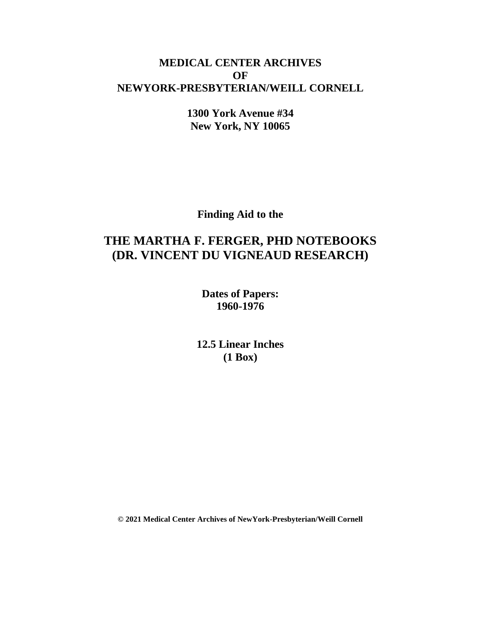### **MEDICAL CENTER ARCHIVES OF NEWYORK-PRESBYTERIAN/WEILL CORNELL**

**1300 York Avenue #34 New York, NY 10065**

**Finding Aid to the**

# **THE MARTHA F. FERGER, PHD NOTEBOOKS (DR. VINCENT DU VIGNEAUD RESEARCH)**

**Dates of Papers: 1960-1976**

**12.5 Linear Inches (1 Box)**

**© 2021 Medical Center Archives of NewYork-Presbyterian/Weill Cornell**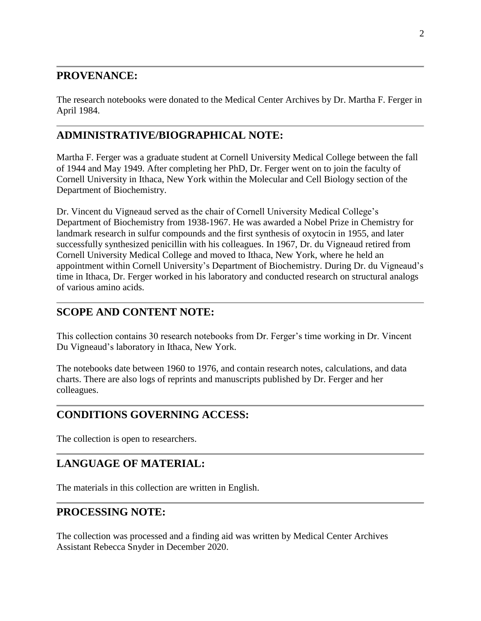### **PROVENANCE:**

The research notebooks were donated to the Medical Center Archives by Dr. Martha F. Ferger in April 1984.

### **ADMINISTRATIVE/BIOGRAPHICAL NOTE:**

Martha F. Ferger was a graduate student at Cornell University Medical College between the fall of 1944 and May 1949. After completing her PhD, Dr. Ferger went on to join the faculty of Cornell University in Ithaca, New York within the Molecular and Cell Biology section of the Department of Biochemistry.

Dr. Vincent du Vigneaud served as the chair of Cornell University Medical College's Department of Biochemistry from 1938-1967. He was awarded a Nobel Prize in Chemistry for landmark research in sulfur compounds and the first synthesis of oxytocin in 1955, and later successfully synthesized penicillin with his colleagues. In 1967, Dr. du Vigneaud retired from Cornell University Medical College and moved to Ithaca, New York, where he held an appointment within Cornell University's Department of Biochemistry. During Dr. du Vigneaud's time in Ithaca, Dr. Ferger worked in his laboratory and conducted research on structural analogs of various amino acids.

### **SCOPE AND CONTENT NOTE:**

This collection contains 30 research notebooks from Dr. Ferger's time working in Dr. Vincent Du Vigneaud's laboratory in Ithaca, New York.

The notebooks date between 1960 to 1976, and contain research notes, calculations, and data charts. There are also logs of reprints and manuscripts published by Dr. Ferger and her colleagues.

## **CONDITIONS GOVERNING ACCESS:**

The collection is open to researchers.

### **LANGUAGE OF MATERIAL:**

The materials in this collection are written in English.

#### **PROCESSING NOTE:**

The collection was processed and a finding aid was written by Medical Center Archives Assistant Rebecca Snyder in December 2020.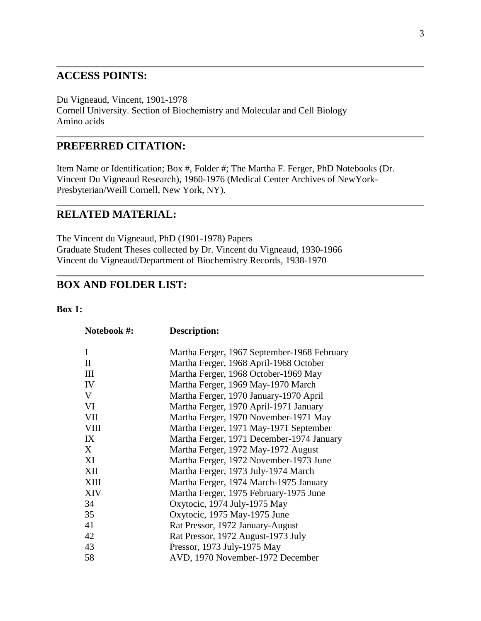#### **ACCESS POINTS:**

Du Vigneaud, Vincent, 1901-1978 Cornell University. Section of Biochemistry and Molecular and Cell Biology Amino acids

#### **PREFERRED CITATION:**

Item Name or Identification; Box #, Folder #; The Martha F. Ferger, PhD Notebooks (Dr. Vincent Du Vigneaud Research), 1960-1976 (Medical Center Archives of NewYork-Presbyterian/Weill Cornell, New York, NY).

#### **RELATED MATERIAL:**

The Vincent du Vigneaud, PhD (1901-1978) Papers Graduate Student Theses collected by Dr. Vincent du Vigneaud, 1930-1966 Vincent du Vigneaud/Department of Biochemistry Records, 1938-1970

#### **BOX AND FOLDER LIST:**

#### **Box 1:**

| Notebook #:  | Description:                                |
|--------------|---------------------------------------------|
| I            | Martha Ferger, 1967 September-1968 February |
| $\mathbf{H}$ | Martha Ferger, 1968 April-1968 October      |
| III          | Martha Ferger, 1968 October-1969 May        |
| IV           | Martha Ferger, 1969 May-1970 March          |
| V            | Martha Ferger, 1970 January-1970 April      |
| VI           | Martha Ferger, 1970 April-1971 January      |
| <b>VII</b>   | Martha Ferger, 1970 November-1971 May       |
| <b>VIII</b>  | Martha Ferger, 1971 May-1971 September      |
| IX           | Martha Ferger, 1971 December-1974 January   |
| X            | Martha Ferger, 1972 May-1972 August         |
| XI           | Martha Ferger, 1972 November-1973 June      |
| XII          | Martha Ferger, 1973 July-1974 March         |
| <b>XIII</b>  | Martha Ferger, 1974 March-1975 January      |
| <b>XIV</b>   | Martha Ferger, 1975 February-1975 June      |
| 34           | Oxytocic, 1974 July-1975 May                |
| 35           | Oxytocic, 1975 May-1975 June                |
| 41           | Rat Pressor, 1972 January-August            |
| 42           | Rat Pressor, 1972 August-1973 July          |
| 43           | Pressor, 1973 July-1975 May                 |
| 58           | AVD, 1970 November-1972 December            |